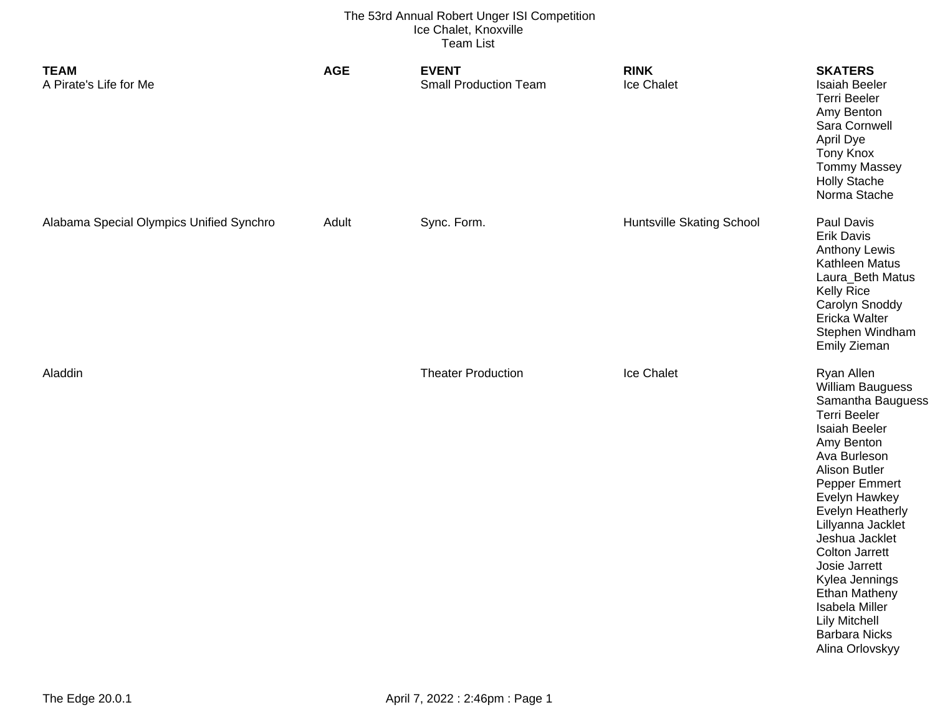| <b>TEAM</b><br>A Pirate's Life for Me    | <b>AGE</b> | <b>EVENT</b><br><b>Small Production Team</b> | <b>RINK</b><br>Ice Chalet        | <b>SKATERS</b><br><b>Isaiah Beeler</b><br><b>Terri Beeler</b><br>Amy Benton<br>Sara Cornwell<br>April Dye<br><b>Tony Knox</b><br><b>Tommy Massey</b><br><b>Holly Stache</b><br>Norma Stache                                                                                                                                                                                                                                                  |
|------------------------------------------|------------|----------------------------------------------|----------------------------------|----------------------------------------------------------------------------------------------------------------------------------------------------------------------------------------------------------------------------------------------------------------------------------------------------------------------------------------------------------------------------------------------------------------------------------------------|
| Alabama Special Olympics Unified Synchro | Adult      | Sync. Form.                                  | <b>Huntsville Skating School</b> | Paul Davis<br><b>Erik Davis</b><br><b>Anthony Lewis</b><br>Kathleen Matus<br>Laura_Beth Matus<br><b>Kelly Rice</b><br>Carolyn Snoddy<br>Ericka Walter<br>Stephen Windham<br><b>Emily Zieman</b>                                                                                                                                                                                                                                              |
| Aladdin                                  |            | <b>Theater Production</b>                    | Ice Chalet                       | Ryan Allen<br><b>William Bauguess</b><br>Samantha Bauguess<br><b>Terri Beeler</b><br><b>Isaiah Beeler</b><br>Amy Benton<br>Ava Burleson<br><b>Alison Butler</b><br>Pepper Emmert<br>Evelyn Hawkey<br><b>Evelyn Heatherly</b><br>Lillyanna Jacklet<br>Jeshua Jacklet<br><b>Colton Jarrett</b><br>Josie Jarrett<br>Kylea Jennings<br><b>Ethan Matheny</b><br>Isabela Miller<br><b>Lily Mitchell</b><br><b>Barbara Nicks</b><br>Alina Orlovskyy |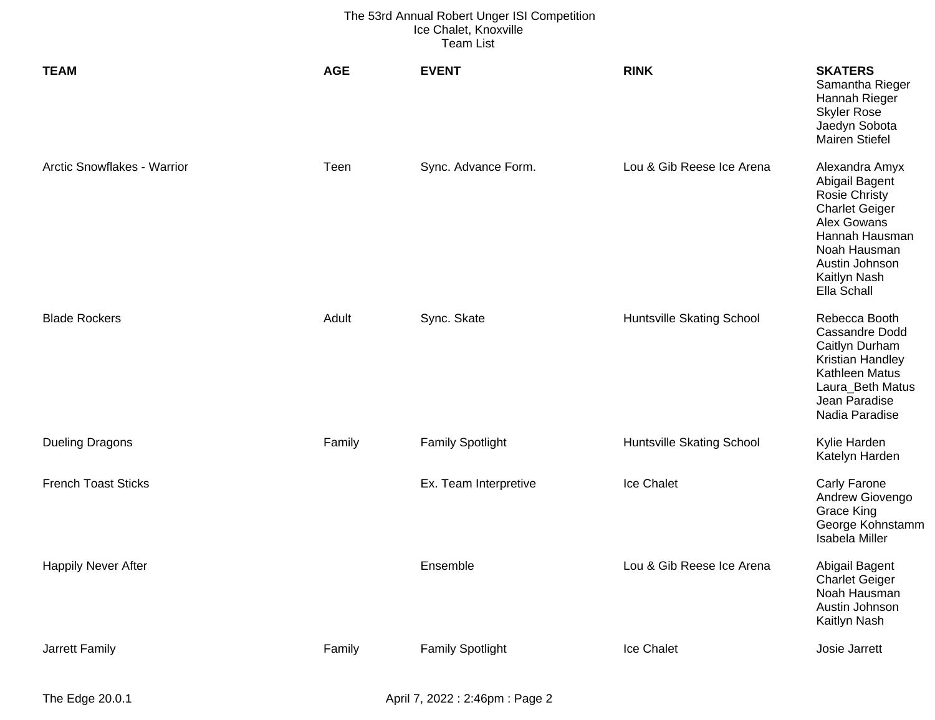| <b>TEAM</b>                 | <b>AGE</b> | <b>EVENT</b>            | <b>RINK</b>               | <b>SKATERS</b><br>Samantha Rieger<br>Hannah Rieger<br><b>Skyler Rose</b><br>Jaedyn Sobota<br><b>Mairen Stiefel</b>                                                                  |
|-----------------------------|------------|-------------------------|---------------------------|-------------------------------------------------------------------------------------------------------------------------------------------------------------------------------------|
| Arctic Snowflakes - Warrior | Teen       | Sync. Advance Form.     | Lou & Gib Reese Ice Arena | Alexandra Amyx<br>Abigail Bagent<br><b>Rosie Christy</b><br><b>Charlet Geiger</b><br>Alex Gowans<br>Hannah Hausman<br>Noah Hausman<br>Austin Johnson<br>Kaitlyn Nash<br>Ella Schall |
| <b>Blade Rockers</b>        | Adult      | Sync. Skate             | Huntsville Skating School | Rebecca Booth<br><b>Cassandre Dodd</b><br>Caitlyn Durham<br>Kristian Handley<br>Kathleen Matus<br>Laura_Beth Matus<br>Jean Paradise<br>Nadia Paradise                               |
| <b>Dueling Dragons</b>      | Family     | <b>Family Spotlight</b> | Huntsville Skating School | Kylie Harden<br>Katelyn Harden                                                                                                                                                      |
| <b>French Toast Sticks</b>  |            | Ex. Team Interpretive   | Ice Chalet                | <b>Carly Farone</b><br>Andrew Giovengo<br><b>Grace King</b><br>George Kohnstamm<br>Isabela Miller                                                                                   |
| <b>Happily Never After</b>  |            | Ensemble                | Lou & Gib Reese Ice Arena | Abigail Bagent<br><b>Charlet Geiger</b><br>Noah Hausman<br>Austin Johnson<br>Kaitlyn Nash                                                                                           |
| Jarrett Family              | Family     | <b>Family Spotlight</b> | Ice Chalet                | Josie Jarrett                                                                                                                                                                       |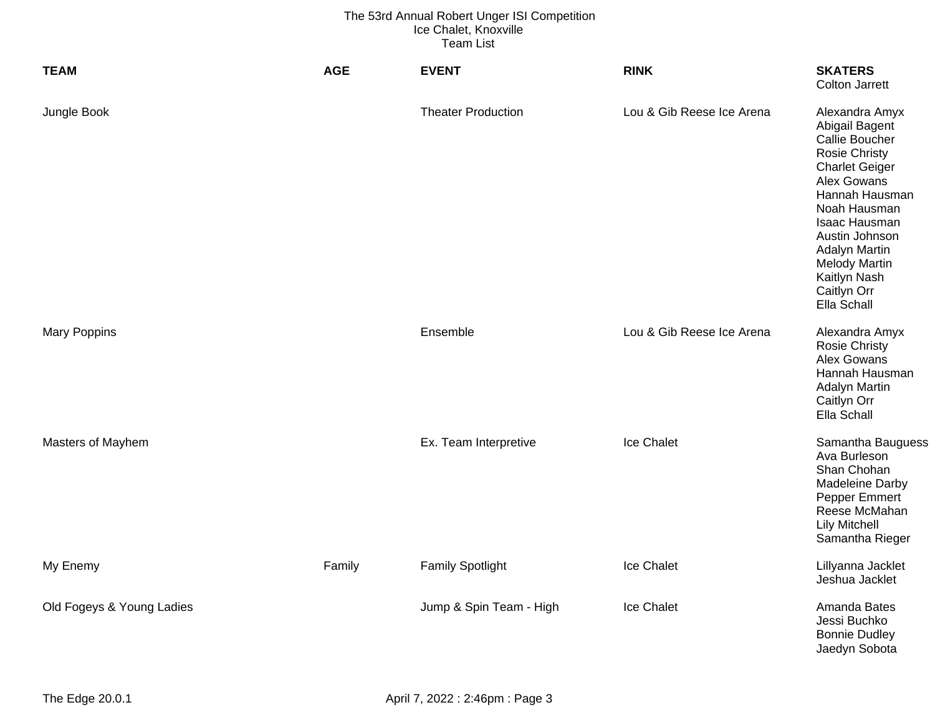| <b>TEAM</b>               | <b>AGE</b> | <b>EVENT</b>              | <b>RINK</b>               | <b>SKATERS</b><br><b>Colton Jarrett</b>                                                                                                                                                                                                                                               |
|---------------------------|------------|---------------------------|---------------------------|---------------------------------------------------------------------------------------------------------------------------------------------------------------------------------------------------------------------------------------------------------------------------------------|
| Jungle Book               |            | <b>Theater Production</b> | Lou & Gib Reese Ice Arena | Alexandra Amyx<br>Abigail Bagent<br>Callie Boucher<br><b>Rosie Christy</b><br><b>Charlet Geiger</b><br>Alex Gowans<br>Hannah Hausman<br>Noah Hausman<br>Isaac Hausman<br>Austin Johnson<br><b>Adalyn Martin</b><br><b>Melody Martin</b><br>Kaitlyn Nash<br>Caitlyn Orr<br>Ella Schall |
| <b>Mary Poppins</b>       |            | Ensemble                  | Lou & Gib Reese Ice Arena | Alexandra Amyx<br><b>Rosie Christy</b><br>Alex Gowans<br>Hannah Hausman<br><b>Adalyn Martin</b><br>Caitlyn Orr<br>Ella Schall                                                                                                                                                         |
| Masters of Mayhem         |            | Ex. Team Interpretive     | Ice Chalet                | Samantha Bauguess<br>Ava Burleson<br>Shan Chohan<br>Madeleine Darby<br>Pepper Emmert<br>Reese McMahan<br><b>Lily Mitchell</b><br>Samantha Rieger                                                                                                                                      |
| My Enemy                  | Family     | <b>Family Spotlight</b>   | Ice Chalet                | Lillyanna Jacklet<br>Jeshua Jacklet                                                                                                                                                                                                                                                   |
| Old Fogeys & Young Ladies |            | Jump & Spin Team - High   | Ice Chalet                | Amanda Bates<br>Jessi Buchko<br><b>Bonnie Dudley</b><br>Jaedyn Sobota                                                                                                                                                                                                                 |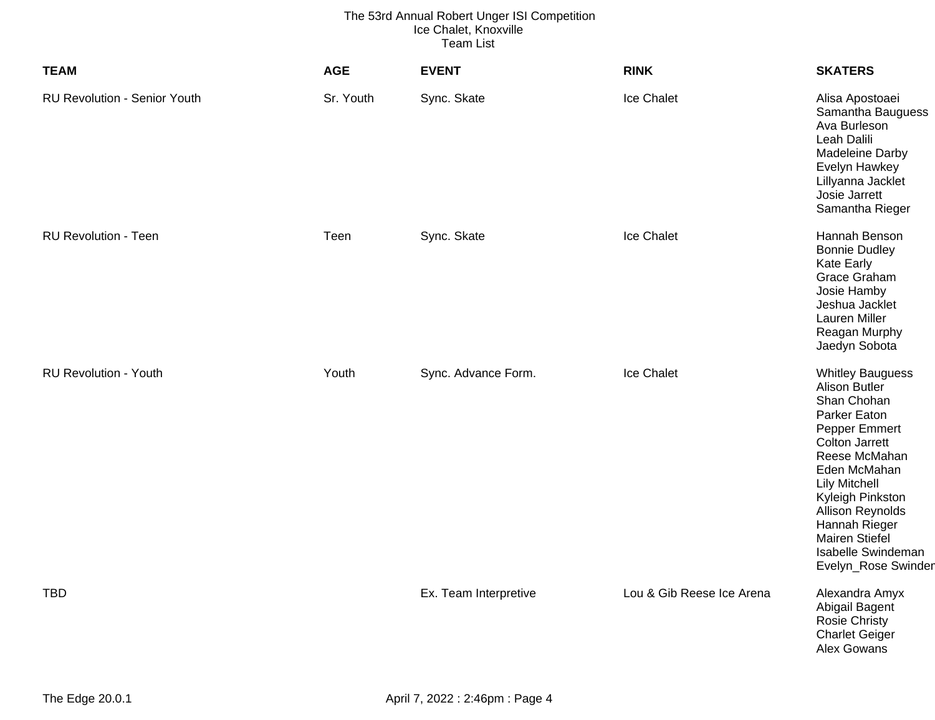| <b>TEAM</b>                         | <b>AGE</b> | <b>EVENT</b>          | <b>RINK</b>               | <b>SKATERS</b>                                                                                                                                                                                                                                                                                     |
|-------------------------------------|------------|-----------------------|---------------------------|----------------------------------------------------------------------------------------------------------------------------------------------------------------------------------------------------------------------------------------------------------------------------------------------------|
| <b>RU Revolution - Senior Youth</b> | Sr. Youth  | Sync. Skate           | Ice Chalet                | Alisa Apostoaei<br>Samantha Bauguess<br>Ava Burleson<br>Leah Dalili<br>Madeleine Darby<br>Evelyn Hawkey<br>Lillyanna Jacklet<br>Josie Jarrett<br>Samantha Rieger                                                                                                                                   |
| <b>RU Revolution - Teen</b>         | Teen       | Sync. Skate           | Ice Chalet                | Hannah Benson<br><b>Bonnie Dudley</b><br><b>Kate Early</b><br>Grace Graham<br>Josie Hamby<br>Jeshua Jacklet<br>Lauren Miller<br>Reagan Murphy<br>Jaedyn Sobota                                                                                                                                     |
| <b>RU Revolution - Youth</b>        | Youth      | Sync. Advance Form.   | Ice Chalet                | <b>Whitley Bauguess</b><br>Alison Butler<br>Shan Chohan<br>Parker Eaton<br>Pepper Emmert<br><b>Colton Jarrett</b><br>Reese McMahan<br>Eden McMahan<br><b>Lily Mitchell</b><br>Kyleigh Pinkston<br>Allison Reynolds<br>Hannah Rieger<br>Mairen Stiefel<br>Isabelle Swindeman<br>Evelyn_Rose Swinder |
| <b>TBD</b>                          |            | Ex. Team Interpretive | Lou & Gib Reese Ice Arena | Alexandra Amyx<br>Abigail Bagent<br>Rosie Christy<br><b>Charlet Geiger</b><br>Alex Gowans                                                                                                                                                                                                          |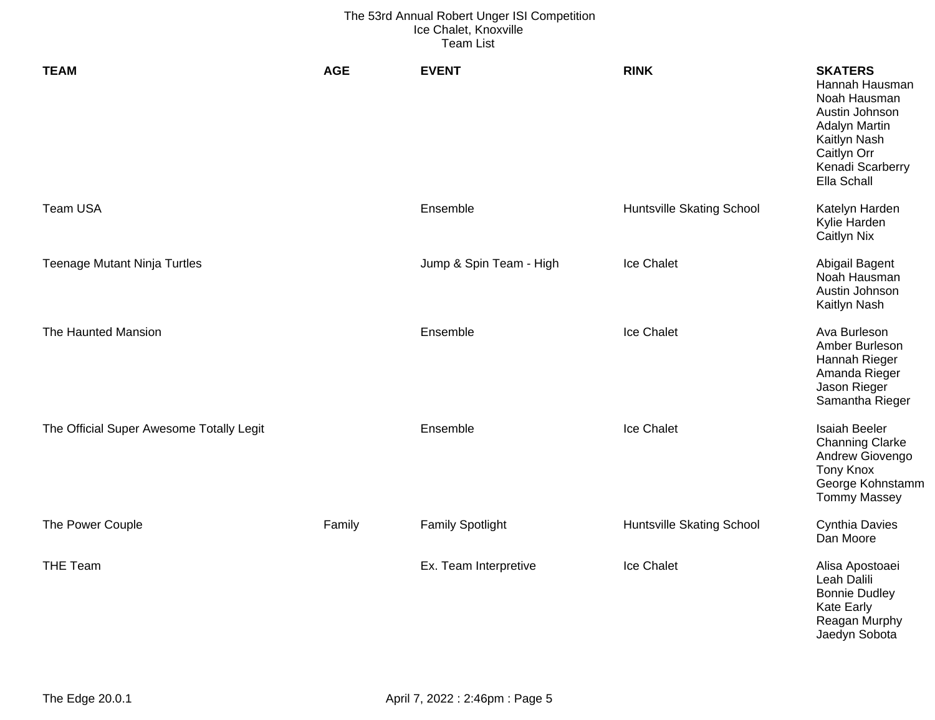| <b>TEAM</b>                              | <b>AGE</b> | <b>EVENT</b>            | <b>RINK</b>                      | <b>SKATERS</b><br>Hannah Hausman<br>Noah Hausman<br>Austin Johnson<br><b>Adalyn Martin</b><br>Kaitlyn Nash<br>Caitlyn Orr<br>Kenadi Scarberry<br>Ella Schall |
|------------------------------------------|------------|-------------------------|----------------------------------|--------------------------------------------------------------------------------------------------------------------------------------------------------------|
| Team USA                                 |            | Ensemble                | Huntsville Skating School        | Katelyn Harden<br>Kylie Harden<br><b>Caitlyn Nix</b>                                                                                                         |
| <b>Teenage Mutant Ninja Turtles</b>      |            | Jump & Spin Team - High | Ice Chalet                       | Abigail Bagent<br>Noah Hausman<br>Austin Johnson<br>Kaitlyn Nash                                                                                             |
| The Haunted Mansion                      |            | Ensemble                | <b>Ice Chalet</b>                | Ava Burleson<br>Amber Burleson<br>Hannah Rieger<br>Amanda Rieger<br>Jason Rieger<br>Samantha Rieger                                                          |
| The Official Super Awesome Totally Legit |            | Ensemble                | Ice Chalet                       | <b>Isaiah Beeler</b><br><b>Channing Clarke</b><br>Andrew Giovengo<br><b>Tony Knox</b><br>George Kohnstamm<br><b>Tommy Massey</b>                             |
| The Power Couple                         | Family     | <b>Family Spotlight</b> | <b>Huntsville Skating School</b> | <b>Cynthia Davies</b><br>Dan Moore                                                                                                                           |
| <b>THE Team</b>                          |            | Ex. Team Interpretive   | Ice Chalet                       | Alisa Apostoaei<br>Leah Dalili<br><b>Bonnie Dudley</b><br><b>Kate Early</b><br>Reagan Murphy<br>Jaedyn Sobota                                                |